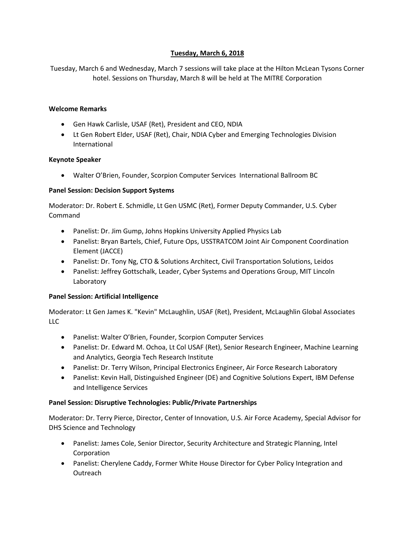# **Tuesday, March 6, 2018**

Tuesday, March 6 and Wednesday, March 7 sessions will take place at the Hilton McLean Tysons Corner hotel. Sessions on Thursday, March 8 will be held at The MITRE Corporation

### **Welcome Remarks**

- Gen Hawk Carlisle, USAF (Ret), President and CEO, NDIA
- Lt Gen Robert Elder, USAF (Ret), Chair, NDIA Cyber and Emerging Technologies Division International

# **Keynote Speaker**

Walter O'Brien, Founder, Scorpion Computer Services International Ballroom BC

# **Panel Session: Decision Support Systems**

Moderator: Dr. Robert E. Schmidle, Lt Gen USMC (Ret), Former Deputy Commander, U.S. Cyber Command

- Panelist: Dr. Jim Gump, Johns Hopkins University Applied Physics Lab
- Panelist: Bryan Bartels, Chief, Future Ops, USSTRATCOM Joint Air Component Coordination Element (JACCE)
- Panelist: Dr. Tony Ng, CTO & Solutions Architect, Civil Transportation Solutions, Leidos
- Panelist: Jeffrey Gottschalk, Leader, Cyber Systems and Operations Group, MIT Lincoln Laboratory

# **Panel Session: Artificial Intelligence**

Moderator: Lt Gen James K. "Kevin" McLaughlin, USAF (Ret), President, McLaughlin Global Associates LLC

- Panelist: Walter O'Brien, Founder, Scorpion Computer Services
- Panelist: Dr. Edward M. Ochoa, Lt Col USAF (Ret), Senior Research Engineer, Machine Learning and Analytics, Georgia Tech Research Institute
- Panelist: Dr. Terry Wilson, Principal Electronics Engineer, Air Force Research Laboratory
- Panelist: Kevin Hall, Distinguished Engineer (DE) and Cognitive Solutions Expert, IBM Defense and Intelligence Services

# **Panel Session: Disruptive Technologies: Public/Private Partnerships**

Moderator: Dr. Terry Pierce, Director, Center of Innovation, U.S. Air Force Academy, Special Advisor for DHS Science and Technology

- Panelist: James Cole, Senior Director, Security Architecture and Strategic Planning, Intel Corporation
- Panelist: Cherylene Caddy, Former White House Director for Cyber Policy Integration and **Outreach**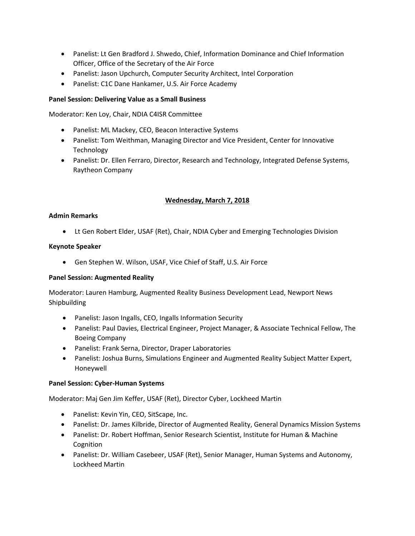- Panelist: Lt Gen Bradford J. Shwedo, Chief, Information Dominance and Chief Information Officer, Office of the Secretary of the Air Force
- Panelist: Jason Upchurch, Computer Security Architect, Intel Corporation
- Panelist: C1C Dane Hankamer, U.S. Air Force Academy

# **Panel Session: Delivering Value as a Small Business**

Moderator: Ken Loy, Chair, NDIA C4ISR Committee

- Panelist: ML Mackey, CEO, Beacon Interactive Systems
- Panelist: Tom Weithman, Managing Director and Vice President, Center for Innovative Technology
- Panelist: Dr. Ellen Ferraro, Director, Research and Technology, Integrated Defense Systems, Raytheon Company

# **Wednesday, March 7, 2018**

### **Admin Remarks**

Lt Gen Robert Elder, USAF (Ret), Chair, NDIA Cyber and Emerging Technologies Division

#### **Keynote Speaker**

Gen Stephen W. Wilson, USAF, Vice Chief of Staff, U.S. Air Force

### **Panel Session: Augmented Reality**

Moderator: Lauren Hamburg, Augmented Reality Business Development Lead, Newport News Shipbuilding

- Panelist: Jason Ingalls, CEO, Ingalls Information Security
- Panelist: Paul Davies, Electrical Engineer, Project Manager, & Associate Technical Fellow, The Boeing Company
- Panelist: Frank Serna, Director, Draper Laboratories
- Panelist: Joshua Burns, Simulations Engineer and Augmented Reality Subject Matter Expert, Honeywell

### **Panel Session: Cyber-Human Systems**

Moderator: Maj Gen Jim Keffer, USAF (Ret), Director Cyber, Lockheed Martin

- Panelist: Kevin Yin, CEO, SitScape, Inc.
- Panelist: Dr. James Kilbride, Director of Augmented Reality, General Dynamics Mission Systems
- Panelist: Dr. Robert Hoffman, Senior Research Scientist, Institute for Human & Machine Cognition
- Panelist: Dr. William Casebeer, USAF (Ret), Senior Manager, Human Systems and Autonomy, Lockheed Martin